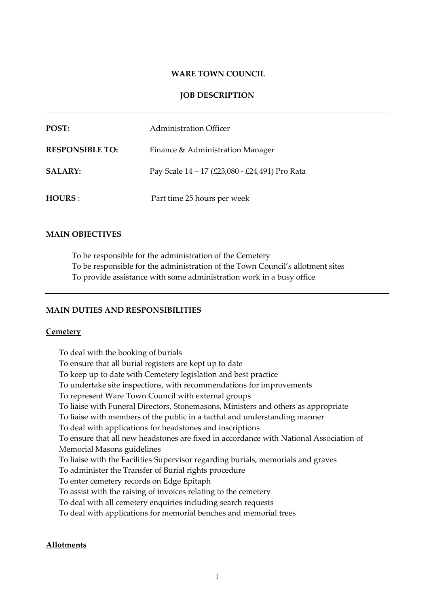### **WARE TOWN COUNCIL**

## **JOB DESCRIPTION**

| POST:                  | Administration Officer                         |
|------------------------|------------------------------------------------|
| <b>RESPONSIBLE TO:</b> | Finance & Administration Manager               |
| <b>SALARY:</b>         | Pay Scale 14 – 17 (£23,080 - £24,491) Pro Rata |
| HOURS:                 | Part time 25 hours per week                    |

### **MAIN OBJECTIVES**

To be responsible for the administration of the Cemetery To be responsible for the administration of the Town Council's allotment sites To provide assistance with some administration work in a busy office

## **MAIN DUTIES AND RESPONSIBILITIES**

#### **Cemetery**

To deal with the booking of burials To ensure that all burial registers are kept up to date To keep up to date with Cemetery legislation and best practice To undertake site inspections, with recommendations for improvements To represent Ware Town Council with external groups To liaise with Funeral Directors, Stonemasons, Ministers and others as appropriate To liaise with members of the public in a tactful and understanding manner To deal with applications for headstones and inscriptions To ensure that all new headstones are fixed in accordance with National Association of Memorial Masons guidelines To liaise with the Facilities Supervisor regarding burials, memorials and graves To administer the Transfer of Burial rights procedure To enter cemetery records on Edge Epitaph To assist with the raising of invoices relating to the cemetery To deal with all cemetery enquiries including search requests To deal with applications for memorial benches and memorial trees

### **Allotments**